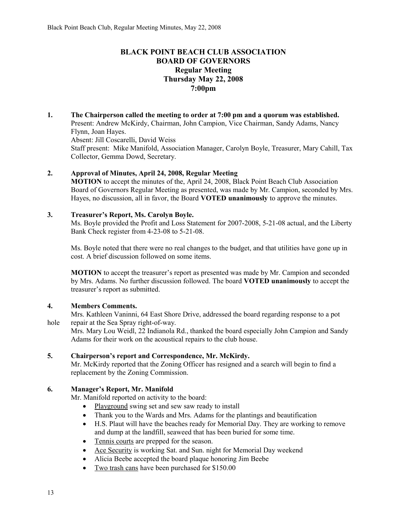# **BLACK POINT BEACH CLUB ASSOCIATION BOARD OF GOVERNORS Regular Meeting Thursday May 22, 2008 7:00pm**

**1. The Chairperson called the meeting to order at 7:00 pm and a quorum was established.**  Present: Andrew McKirdy, Chairman, John Campion, Vice Chairman, Sandy Adams, Nancy Flynn, Joan Hayes. Absent: Jill Coscarelli, David Weiss Staff present: Mike Manifold, Association Manager, Carolyn Boyle, Treasurer, Mary Cahill, Tax Collector, Gemma Dowd, Secretary.

# **2. Approval of Minutes, April 24, 2008, Regular Meeting**

**MOTION** to accept the minutes of the, April 24, 2008, Black Point Beach Club Association Board of Governors Regular Meeting as presented, was made by Mr. Campion, seconded by Mrs. Hayes, no discussion, all in favor, the Board **VOTED unanimously** to approve the minutes.

### **3. Treasurer's Report, Ms. Carolyn Boyle.**

Ms. Boyle provided the Profit and Loss Statement for 2007-2008, 5-21-08 actual, and the Liberty Bank Check register from 4-23-08 to 5-21-08.

Ms. Boyle noted that there were no real changes to the budget, and that utilities have gone up in cost. A brief discussion followed on some items.

**MOTION** to accept the treasurer's report as presented was made by Mr. Campion and seconded by Mrs. Adams. No further discussion followed. The board **VOTED unanimously** to accept the treasurer's report as submitted.

#### **4. Members Comments.**

Mrs. Kathleen Vaninni, 64 East Shore Drive, addressed the board regarding response to a pot hole repair at the Sea Spray right-of-way.

Mrs. Mary Lou Weidl, 22 Indianola Rd., thanked the board especially John Campion and Sandy Adams for their work on the acoustical repairs to the club house.

# **5. Chairperson's report and Correspondence, Mr. McKirdy.**

Mr. McKirdy reported that the Zoning Officer has resigned and a search will begin to find a replacement by the Zoning Commission.

# **6. Manager's Report, Mr. Manifold**

Mr. Manifold reported on activity to the board:

- Playground swing set and sew saw ready to install
- Thank you to the Wards and Mrs. Adams for the plantings and beautification
- H.S. Plaut will have the beaches ready for Memorial Day. They are working to remove and dump at the landfill, seaweed that has been buried for some time.
- Tennis courts are prepped for the season.
- Ace Security is working Sat. and Sun. night for Memorial Day weekend
- Alicia Beebe accepted the board plaque honoring Jim Beebe
- Two trash cans have been purchased for \$150.00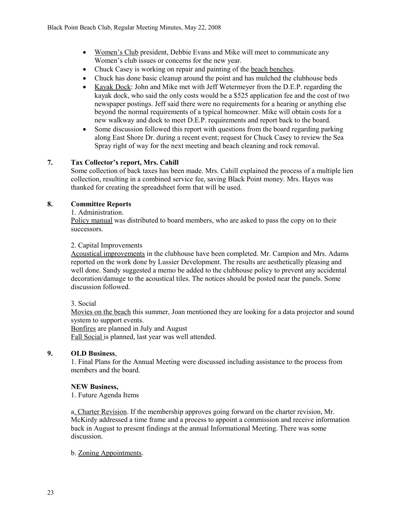- Women's Club president, Debbie Evans and Mike will meet to communicate any Women's club issues or concerns for the new year.
- Chuck Casey is working on repair and painting of the beach benches.
- Chuck has done basic cleanup around the point and has mulched the clubhouse beds
- Kayak Dock: John and Mike met with Jeff Wetermeyer from the D.E.P. regarding the kayak dock, who said the only costs would be a \$525 application fee and the cost of two newspaper postings. Jeff said there were no requirements for a hearing or anything else beyond the normal requirements of a typical homeowner. Mike will obtain costs for a new walkway and dock to meet D.E.P. requirements and report back to the board.
- Some discussion followed this report with questions from the board regarding parking along East Shore Dr. during a recent event; request for Chuck Casey to review the Sea Spray right of way for the next meeting and beach cleaning and rock removal.

# **7. Tax Collector's report, Mrs. Cahill**

Some collection of back taxes has been made. Mrs. Cahill explained the process of a multiple lien collection, resulting in a combined service fee, saving Black Point money. Mrs. Hayes was thanked for creating the spreadsheet form that will be used.

### **8. Committee Reports**

#### 1. Administration.

Policy manual was distributed to board members, who are asked to pass the copy on to their successors.

#### 2. Capital Improvements

Acoustical improvements in the clubhouse have been completed. Mr. Campion and Mrs. Adams reported on the work done by Lussier Development. The results are aesthetically pleasing and well done. Sandy suggested a memo be added to the clubhouse policy to prevent any accidental decoration/damage to the acoustical tiles. The notices should be posted near the panels. Some discussion followed.

#### 3. Social

Movies on the beach this summer, Joan mentioned they are looking for a data projector and sound system to support events.

Bonfires are planned in July and August

Fall Social is planned, last year was well attended.

### **9. OLD Business**,

1. Final Plans for the Annual Meeting were discussed including assistance to the process from members and the board.

#### **NEW Business,**

1. Future Agenda Items

a. Charter Revision. If the membership approves going forward on the charter revision, Mr. McKirdy addressed a time frame and a process to appoint a commission and receive information back in August to present findings at the annual Informational Meeting. There was some discussion.

#### b. Zoning Appointments.